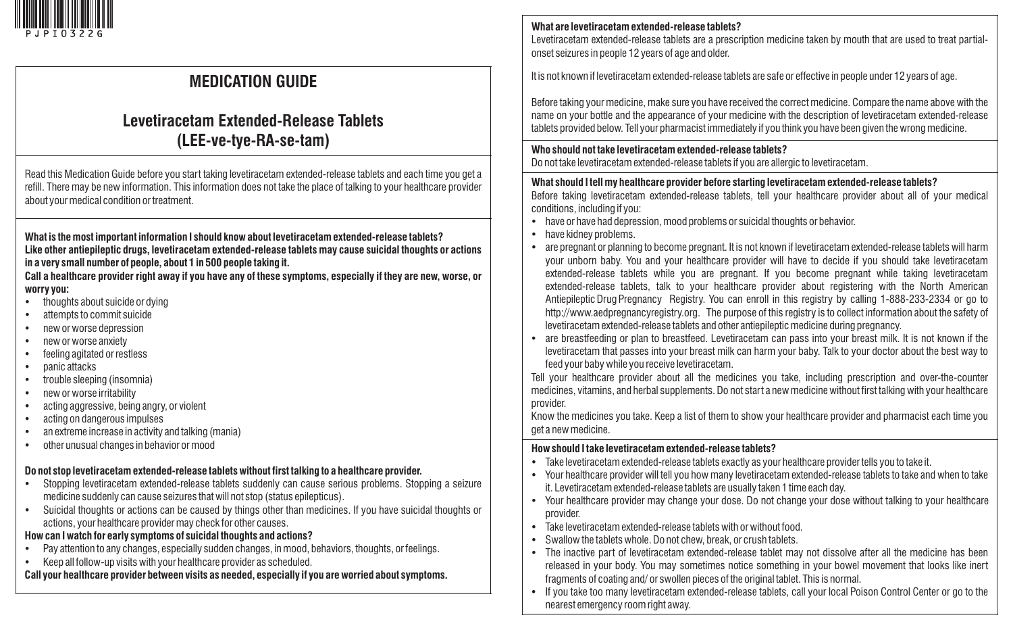

# **MEDICATION GUIDE**

## **Levetiracetam Extended-Release Tablets (LEE-ve-tye-RA-se-tam)**

Read this Medication Guide before you start taking levetiracetam extended-release tablets and each time you get a refill. There may be new information. This information does not take the place of talking to your healthcare provider about your medical condition or treatment.

**What is the most important information I should know about levetiracetam extended-release tablets? Like other antiepileptic drugs, levetiracetam extended-release tablets may cause suicidal thoughts or actions in a very small number of people, about 1 in 500 people taking it.** 

**Call a healthcare provider right away if you have any of these symptoms, especially if they are new, worse, or worry you:** 

- $\bullet$ thoughts about suicide or dying
- attempts to commit suicide
- new or worse depression
- new or worse anxiety
- feeling agitated or restless
- panic attacks
- trouble sleeping (insomnia)
- new or worse irritability
- acting aggressive, being angry, or violent
- acting on dangerous impulses
- an extreme increase in activity and talking (mania)
- $\bullet$  other unusual changes in behavior or mood

## **Do not stop levetiracetam extended-release tablets without first talking to a healthcare provider.**

- Stopping levetiracetam extended-release tablets suddenly can cause serious problems. Stopping a seizure medicine suddenly can cause seizures that will not stop (status epilepticus).
- Suicidal thoughts or actions can be caused by things other than medicines. If you have suicidal thoughts or actions, your healthcare provider may check for other causes.

## **How can I watch for early symptoms of suicidal thoughts and actions?**

- Pay attention to any changes, especially sudden changes, in mood, behaviors, thoughts, or feelings.
- Keep all follow-up visits with your healthcare provider as scheduled.

**Call your healthcare provider between visits as needed, especially if you are worried about symptoms.** 

## **What are levetiracetam extended-release tablets?**

Levetiracetam extended-release tablets are a prescription medicine taken by mouth that are used to treat partialonset seizures in people 12 years of age and older.

It is not known if levetiracetam extended-release tablets are safe or effective in people under 12 years of age.

Before taking your medicine, make sure you have received the correct medicine. Compare the name above with the name on your bottle and the appearance of your medicine with the description of levetiracetam extended-release tablets provided below. Tell your pharmacist immediately if you think you have been given the wrong medicine.

#### **Who should not take levetiracetam extended-release tablets?**

Do not take levetiracetam extended-release tablets if you are allergic to levetiracetam.

## **What should I tell my healthcare provider before starting levetiracetam extended-release tablets?**

Before taking levetiracetam extended-release tablets, tell your healthcare provider about all of your medical conditions, including if you:

- have or have had depression, mood problems or suicidal thoughts or behavior.
- have kidney problems.
- are pregnant or planning to become pregnant. It is not known if levetiracetam extended-release tablets will harm your unborn baby. You and your healthcare provider will have to decide if you should take levetiracetam extended-release tablets while you are pregnant. If you become pregnant while taking levetiracetam extended-release tablets, talk to your healthcare provider about registering with the North American Antiepileptic Drug Pregnancy Registry. You can enroll in this registry by calling 1-888-233-2334 or go to http://www.aedpregnancyregistry.org. The purpose of this registry is to collect information about the safety of levetiracetam extended-release tablets and other antiepileptic medicine during pregnancy.
- are breastfeeding or plan to breastfeed. Levetiracetam can pass into your breast milk. It is not known if the levetiracetam that passes into your breast milk can harm your baby. Talk to your doctor about the best way to feed your baby while you receive levetiracetam.

Tell your healthcare provider about all the medicines you take, including prescription and over-the-counter medicines, vitamins, and herbal supplements. Do not start a new medicine without first talking with your healthcare provider.

Know the medicines you take. Keep a list of them to show your healthcare provider and pharmacist each time you get a new medicine.

## **How should I take levetiracetam extended-release tablets?**

- Take levetiracetam extended-release tablets exactly as your healthcare provider tells you to take it.
- Your healthcare provider will tell you how many levetiracetam extended-release tablets to take and when to take it. Levetiracetam extended-release tablets are usually taken 1 time each day.
- Your healthcare provider may change your dose. Do not change your dose without talking to your healthcare provider.
- $\bullet$  Take levetiracetam extended-release tablets with or without food.
- Swallow the tablets whole. Do not chew, break, or crush tablets.
- The inactive part of levetiracetam extended-release tablet may not dissolve after all the medicine has been released in your body. You may sometimes notice something in your bowel movement that looks like inert fragments of coating and/ or swollen pieces of the original tablet. This is normal.
- If you take too many levetiracetam extended-release tablets, call your local Poison Control Center or go to the nearest emergency room right away.